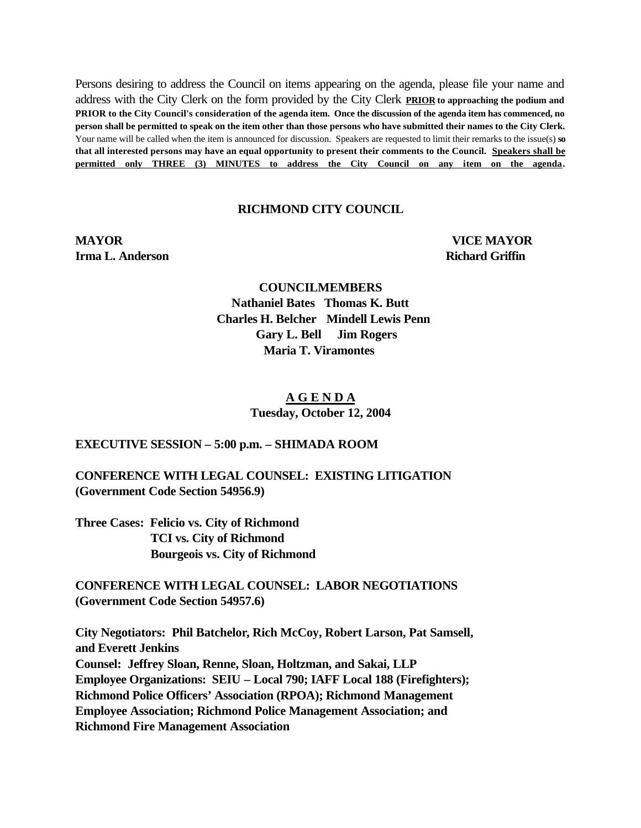Persons desiring to address the Council on items appearing on the agenda, please file your name and address with the City Clerk on the form provided by the City Clerk **PRIOR to approaching the podium and PRIOR to the City Council's consideration of the agenda item. Once the discussion of the agenda item has commenced, no person shall be permitted to speak on the item other than those persons who have submitted their names to the City Clerk.** Your name will be called when the item is announced for discussion. Speakers are requested to limit their remarks to the issue(s) **so that all interested persons may have an equal opportunity to present their comments to the Council. Speakers shall be permitted only THREE (3) MINUTES to address the City Council on any item on the agenda.**

# **RICHMOND CITY COUNCIL**

**Irma L. Anderson Richard Griffin** 

**MAYOR VICE MAYOR**

**COUNCILMEMBERS Nathaniel Bates Thomas K. Butt Charles H. Belcher Mindell Lewis Penn Gary L. Bell Jim Rogers Maria T. Viramontes**

# **A G E N D A Tuesday, October 12, 2004**

**EXECUTIVE SESSION – 5:00 p.m. – SHIMADA ROOM**

**CONFERENCE WITH LEGAL COUNSEL: EXISTING LITIGATION (Government Code Section 54956.9)**

**Three Cases: Felicio vs. City of Richmond TCI vs. City of Richmond Bourgeois vs. City of Richmond** 

**CONFERENCE WITH LEGAL COUNSEL: LABOR NEGOTIATIONS (Government Code Section 54957.6)**

**City Negotiators: Phil Batchelor, Rich McCoy, Robert Larson, Pat Samsell, and Everett Jenkins Counsel: Jeffrey Sloan, Renne, Sloan, Holtzman, and Sakai, LLP Employee Organizations: SEIU – Local 790; IAFF Local 188 (Firefighters); Richmond Police Officers' Association (RPOA); Richmond Management Employee Association; Richmond Police Management Association; and Richmond Fire Management Association**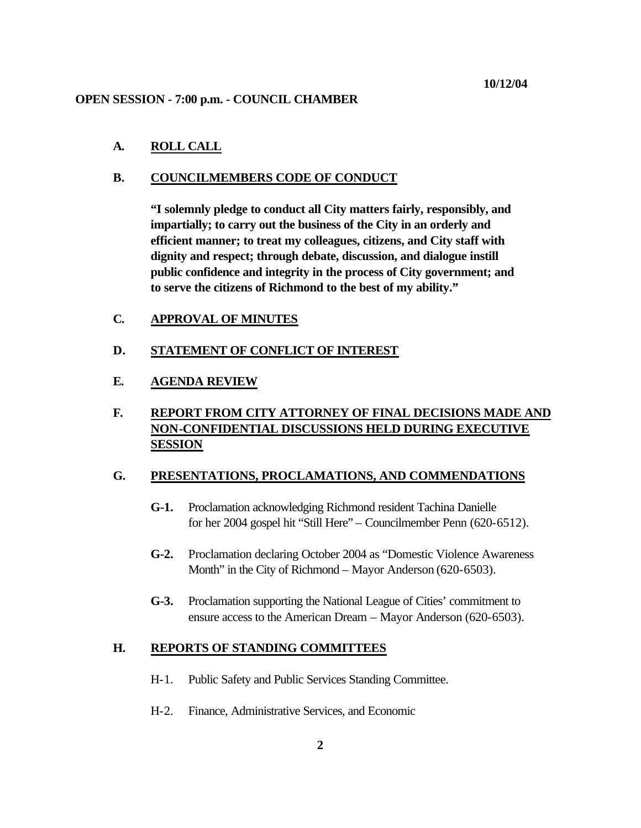#### **OPEN SESSION - 7:00 p.m. - COUNCIL CHAMBER**

## **A. ROLL CALL**

#### **B. COUNCILMEMBERS CODE OF CONDUCT**

**"I solemnly pledge to conduct all City matters fairly, responsibly, and impartially; to carry out the business of the City in an orderly and efficient manner; to treat my colleagues, citizens, and City staff with dignity and respect; through debate, discussion, and dialogue instill public confidence and integrity in the process of City government; and to serve the citizens of Richmond to the best of my ability."**

# **C. APPROVAL OF MINUTES**

**D. STATEMENT OF CONFLICT OF INTEREST** 

# **E. AGENDA REVIEW**

# **F. REPORT FROM CITY ATTORNEY OF FINAL DECISIONS MADE AND NON-CONFIDENTIAL DISCUSSIONS HELD DURING EXECUTIVE SESSION**

#### **G. PRESENTATIONS, PROCLAMATIONS, AND COMMENDATIONS**

- **G-1.** Proclamation acknowledging Richmond resident Tachina Danielle for her 2004 gospel hit "Still Here" – Councilmember Penn (620-6512).
- **G-2.** Proclamation declaring October 2004 as "Domestic Violence Awareness Month" in the City of Richmond – Mayor Anderson (620-6503).
- **G-3.** Proclamation supporting the National League of Cities' commitment to ensure access to the American Dream – Mayor Anderson (620-6503).

#### **H. REPORTS OF STANDING COMMITTEES**

- H-1. Public Safety and Public Services Standing Committee.
- H-2. Finance, Administrative Services, and Economic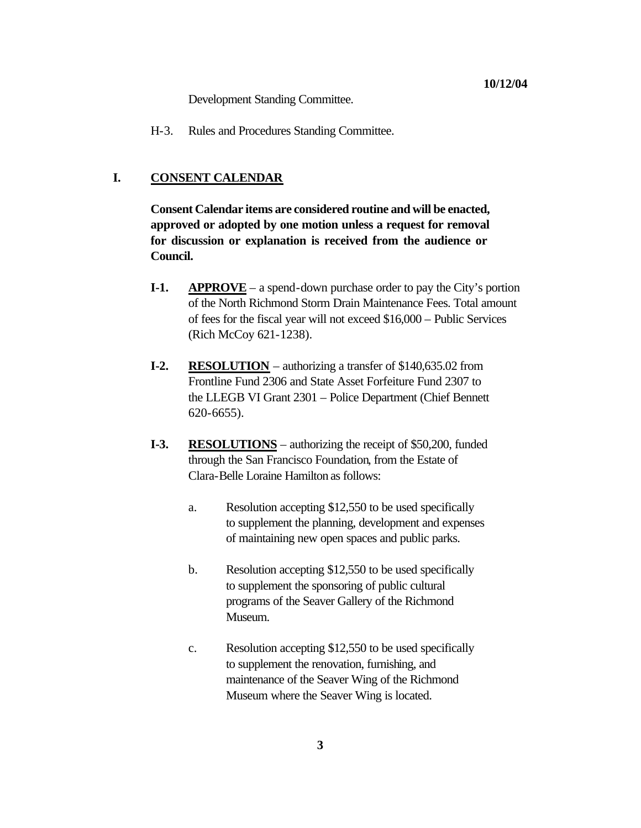Development Standing Committee.

H-3. Rules and Procedures Standing Committee.

#### **I. CONSENT CALENDAR**

**Consent Calendar items are considered routine and will be enacted, approved or adopted by one motion unless a request for removal for discussion or explanation is received from the audience or Council.**

- **I-1. APPROVE** a spend-down purchase order to pay the City's portion of the North Richmond Storm Drain Maintenance Fees. Total amount of fees for the fiscal year will not exceed \$16,000 – Public Services (Rich McCoy 621-1238).
- **I-2. RESOLUTION** authorizing a transfer of \$140,635.02 from Frontline Fund 2306 and State Asset Forfeiture Fund 2307 to the LLEGB VI Grant 2301 – Police Department (Chief Bennett 620-6655).
- **I-3. RESOLUTIONS** authorizing the receipt of \$50,200, funded through the San Francisco Foundation, from the Estate of Clara-Belle Loraine Hamilton as follows:
	- a. Resolution accepting \$12,550 to be used specifically to supplement the planning, development and expenses of maintaining new open spaces and public parks.
	- b. Resolution accepting \$12,550 to be used specifically to supplement the sponsoring of public cultural programs of the Seaver Gallery of the Richmond Museum.
	- c. Resolution accepting \$12,550 to be used specifically to supplement the renovation, furnishing, and maintenance of the Seaver Wing of the Richmond Museum where the Seaver Wing is located.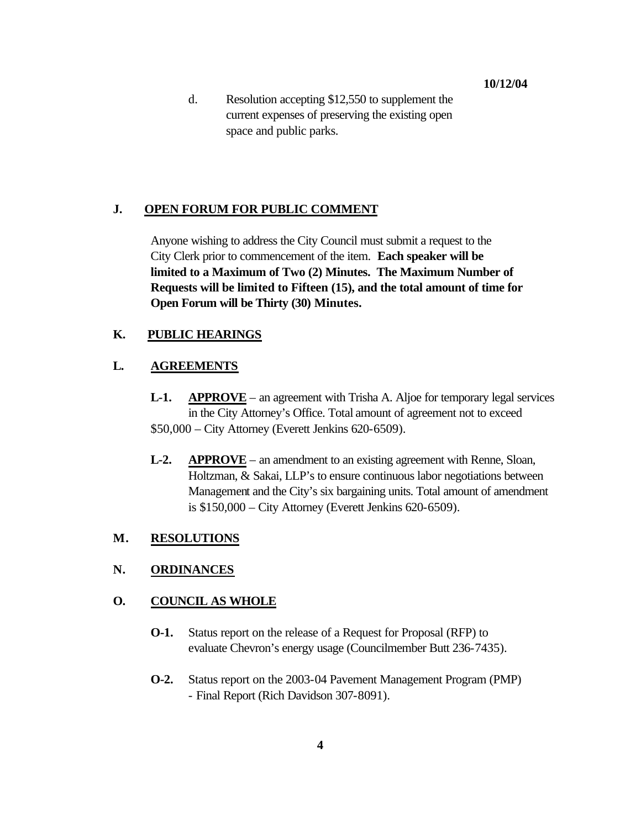d. Resolution accepting \$12,550 to supplement the current expenses of preserving the existing open space and public parks.

# **J. OPEN FORUM FOR PUBLIC COMMENT**

Anyone wishing to address the City Council must submit a request to the City Clerk prior to commencement of the item. **Each speaker will be limited to a Maximum of Two (2) Minutes. The Maximum Number of Requests will be limited to Fifteen (15), and the total amount of time for Open Forum will be Thirty (30) Minutes.**

# **K. PUBLIC HEARINGS**

# **L. AGREEMENTS**

- **L-1. APPROVE** an agreement with Trisha A. Aljoe for temporary legal services in the City Attorney's Office. Total amount of agreement not to exceed \$50,000 – City Attorney (Everett Jenkins 620-6509).
- **L-2. APPROVE** an amendment to an existing agreement with Renne, Sloan, Holtzman, & Sakai, LLP's to ensure continuous labor negotiations between Management and the City's six bargaining units. Total amount of amendment is \$150,000 – City Attorney (Everett Jenkins 620-6509).

# **M. RESOLUTIONS**

# **N. ORDINANCES**

# **O. COUNCIL AS WHOLE**

- **O-1.** Status report on the release of a Request for Proposal (RFP) to evaluate Chevron's energy usage (Councilmember Butt 236-7435).
- **O-2.** Status report on the 2003-04 Pavement Management Program (PMP) - Final Report (Rich Davidson 307-8091).